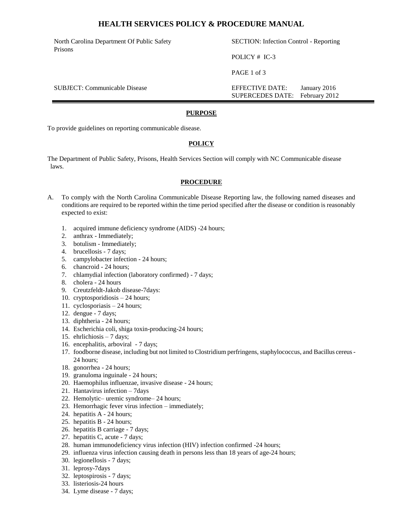## **HEALTH SERVICES POLICY & PROCEDURE MANUAL**

North Carolina Department Of Public Safety Prisons

SECTION: Infection Control - Reporting

POLICY # IC-3

PAGE 1 of 3

SUBJECT: Communicable Disease EFFECTIVE DATE: January 2016 SUPERCEDES DATE: February 2012

#### **PURPOSE**

To provide guidelines on reporting communicable disease.

### **POLICY**

The Department of Public Safety, Prisons, Health Services Section will comply with NC Communicable disease laws.

#### **PROCEDURE**

- A. To comply with the North Carolina Communicable Disease Reporting law, the following named diseases and conditions are required to be reported within the time period specified after the disease or condition is reasonably expected to exist:
	- 1. acquired immune deficiency syndrome (AIDS) -24 hours;
	- 2. anthrax Immediately;
	- 3. botulism Immediately;
	- 4. brucellosis 7 days;
	- 5. campylobacter infection 24 hours;
	- 6. chancroid 24 hours;
	- 7. chlamydial infection (laboratory confirmed) 7 days;
	- 8. cholera 24 hours
	- 9. Creutzfeldt-Jakob disease-7days:
	- 10. cryptosporidiosis 24 hours;
	- 11. cyclosporiasis 24 hours;
	- 12. dengue 7 days;
	- 13. diphtheria 24 hours;
	- 14. Escherichia coli, shiga toxin-producing-24 hours;
	- 15. ehrlichiosis 7 days;
	- 16. encephalitis, arboviral 7 days;
	- 17. foodborne disease, including but not limited to Clostridium perfringens, staphylococcus, and Bacillus cereus 24 hours;
	- 18. gonorrhea 24 hours;
	- 19. granuloma inguinale 24 hours;
	- 20. Haemophilus influenzae, invasive disease 24 hours;
	- 21. Hantavirus infection 7days
	- 22. Hemolytic– uremic syndrome– 24 hours;
	- 23. Hemorrhagic fever virus infection immediately;
	- 24. hepatitis A 24 hours;
	- 25. hepatitis B 24 hours;
	- 26. hepatitis B carriage 7 days;
	- 27. hepatitis C, acute 7 days;
	- 28. human immunodeficiency virus infection (HIV) infection confirmed -24 hours;
	- 29. influenza virus infection causing death in persons less than 18 years of age-24 hours;
	- 30. legionellosis 7 days;
	- 31. leprosy-7days
	- 32. leptospirosis 7 days;
	- 33. listeriosis-24 hours
	- 34. Lyme disease 7 days;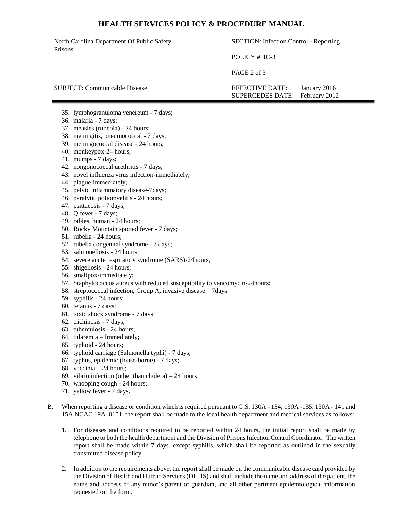## **HEALTH SERVICES POLICY & PROCEDURE MANUAL**

North Carolina Department Of Public Safety Prisons

SECTION: Infection Control - Reporting

POLICY # IC-3

PAGE 2 of 3

SUBJECT: Communicable Disease EFFECTIVE DATE: January 2016 SUPERCEDES DATE: February 2012

35. lymphogranuloma venereum - 7 days;

- 36. malaria 7 days;
- 37. measles (rubeola) 24 hours;
- 38. meningitis, pneumococcal 7 days;
- 39. meningococcal disease 24 hours;
- 40. monkeypox-24 hours;
- 41. mumps 7 days;
- 42. nongonococcal urethritis 7 days;
- 43. novel influenza virus infection-immediately;
- 44. plague-immediately;
- 45. pelvic inflammatory disease-7days;
- 46. paralytic poliomyelitis 24 hours;
- 47. psittacosis 7 days;
- 48. Q fever 7 days;
- 49. rabies, human 24 hours;
- 50. Rocky Mountain spotted fever 7 days;
- 51. rubella 24 hours;
- 52. rubella congenital syndrome 7 days;
- 53. salmonellosis 24 hours;
- 54. severe acute respiratory syndrome (SARS)-24hours;
- 55. shigellosis 24 hours;
- 56. smallpox-immediately;
- 57. Staphylococcus aureus with reduced susceptibility to vancomycin-24hours;
- 58. streptococcal infection, Group A, invasive disease 7days
- 59. syphilis 24 hours;
- 60. tetanus 7 days;
- 61. toxic shock syndrome 7 days;
- 62. trichinosis 7 days;
- 63. tuberculosis 24 hours;
- 64. tularemia Immediately;
- 65. typhoid 24 hours;
- 66. typhoid carriage (Salmonella typhi) 7 days;
- 67. typhus, epidemic (louse-borne) 7 days;
- 68. vaccinia 24 hours;
- 69. vibrio infection (other than cholera) 24 hours
- 70. whooping cough 24 hours;
- 71. yellow fever 7 days.
- B. When reporting a disease or condition which is required pursuant to G.S. 130A 134; 130A -135, 130A 141 and 15A NCAC 19A .0101, the report shall be made to the local health department and medical services as follows:
	- 1. For diseases and conditions required to be reported within 24 hours, the initial report shall be made by telephone to both the health department and the Division of Prisons Infection Control Coordinator. The written report shall be made within 7 days, except syphilis, which shall be reported as outlined in the sexually transmitted disease policy.
	- 2. In addition to the requirements above, the report shall be made on the communicable disease card provided by the Division of Health and Human Services (DHHS) and shall include the name and address of the patient, the name and address of any minor's parent or guardian, and all other pertinent epidemiological information requested on the form.